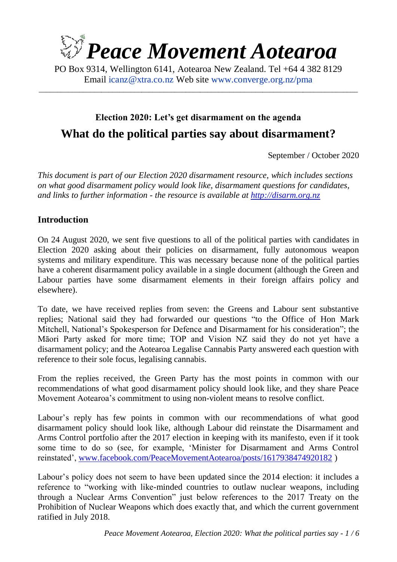

PO Box 9314, Wellington 6141, Aotearoa New Zealand. Tel +64 4 382 8129 Email [icanz@xtra.co.nz](mailto:icanz@xtra.co.nz?subject=Election%202020%20resource) Web site [www.converge.org.nz/pma](http://www.converge.org.nz/pma)

\_\_\_\_\_\_\_\_\_\_\_\_\_\_\_\_\_\_\_\_\_\_\_\_\_\_\_\_\_\_\_\_\_\_\_\_\_\_\_\_\_\_\_\_\_\_\_\_\_\_\_\_\_\_\_\_\_\_\_\_\_\_\_\_\_\_\_\_\_\_\_\_\_\_\_\_\_\_\_\_\_\_\_\_\_\_\_

## **Election 2020: Let's get disarmament on the agenda What do the political parties say about disarmament?**

September / October 2020

*This document is part of our Election 2020 disarmament resource, which includes sections on what good disarmament policy would look like, disarmament questions for candidates, and links to further information - the resource is available at [http://disarm.org.nz](http://disarm.org.nz/)*

#### **Introduction**

On 24 August 2020, we sent five questions to all of the political parties with candidates in Election 2020 asking about their policies on disarmament, fully autonomous weapon systems and military expenditure. This was necessary because none of the political parties have a coherent disarmament policy available in a single document (although the Green and Labour parties have some disarmament elements in their foreign affairs policy and elsewhere).

To date, we have received replies from seven: the Greens and Labour sent substantive replies; National said they had forwarded our questions "to the Office of Hon Mark Mitchell, National's Spokesperson for Defence and Disarmament for his consideration"; the Māori Party asked for more time; TOP and Vision NZ said they do not yet have a disarmament policy; and the Aotearoa Legalise Cannabis Party answered each question with reference to their sole focus, legalising cannabis.

From the replies received, the Green Party has the most points in common with our recommendations of what good disarmament policy should look like, and they share Peace Movement Aotearoa's commitment to using non-violent means to resolve conflict.

Labour's reply has few points in common with our recommendations of what good disarmament policy should look like, although Labour did reinstate the Disarmament and Arms Control portfolio after the 2017 election in keeping with its manifesto, even if it took some time to do so (see, for example, 'Minister for Disarmament and Arms Control reinstated', [www.facebook.com/PeaceMovementAotearoa/posts/1617938474920182](http://www.facebook.com/PeaceMovementAotearoa/posts/1617938474920182) )

Labour's policy does not seem to have been updated since the 2014 election: it includes a reference to "working with like-minded countries to outlaw nuclear weapons, including through a Nuclear Arms Convention" just below references to the 2017 Treaty on the Prohibition of Nuclear Weapons which does exactly that, and which the current government ratified in July 2018.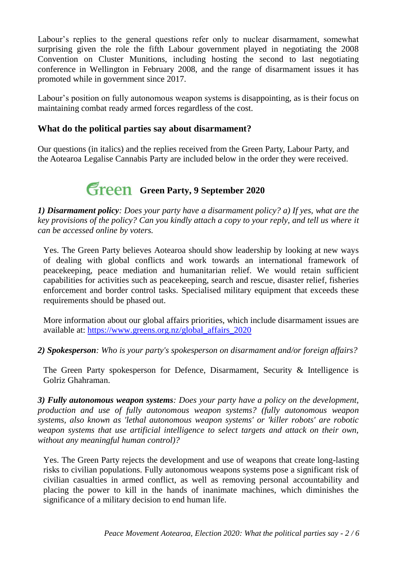Labour's replies to the general questions refer only to nuclear disarmament, somewhat surprising given the role the fifth Labour government played in negotiating the 2008 Convention on Cluster Munitions, including hosting the second to last negotiating conference in Wellington in February 2008, and the range of disarmament issues it has promoted while in government since 2017.

Labour's position on fully autonomous weapon systems is disappointing, as is their focus on maintaining combat ready armed forces regardless of the cost.

#### **What do the political parties say about disarmament?**

Our questions (in italics) and the replies received from the Green Party, Labour Party, and the Aotearoa Legalise Cannabis Party are included below in the order they were received.

# **Green** Green Party, 9 September 2020

*1) Disarmament policy: Does your party have a disarmament policy? a) If yes, what are the key provisions of the policy? Can you kindly attach a copy to your reply, and tell us where it can be accessed online by voters.*

Yes. The Green Party believes Aotearoa should show leadership by looking at new ways of dealing with global conflicts and work towards an international framework of peacekeeping, peace mediation and humanitarian relief. We would retain sufficient capabilities for activities such as peacekeeping, search and rescue, disaster relief, fisheries enforcement and border control tasks. Specialised military equipment that exceeds these requirements should be phased out.

More information about our global affairs priorities, which include disarmament issues are available at: [https://www.greens.org.nz/global\\_affairs\\_2020](https://www.greens.org.nz/global_affairs_2020)

*2) Spokesperson: Who is your party's spokesperson on disarmament and/or foreign affairs?*

The Green Party spokesperson for Defence, Disarmament, Security & Intelligence is Golriz Ghahraman.

*3) Fully autonomous weapon systems: Does your party have a policy on the development, production and use of fully autonomous weapon systems? (fully autonomous weapon systems, also known as 'lethal autonomous weapon systems' or 'killer robots' are robotic weapon systems that use artificial intelligence to select targets and attack on their own, without any meaningful human control)?*

Yes. The Green Party rejects the development and use of weapons that create long-lasting risks to civilian populations. Fully autonomous weapons systems pose a significant risk of civilian casualties in armed conflict, as well as removing personal accountability and placing the power to kill in the hands of inanimate machines, which diminishes the significance of a military decision to end human life.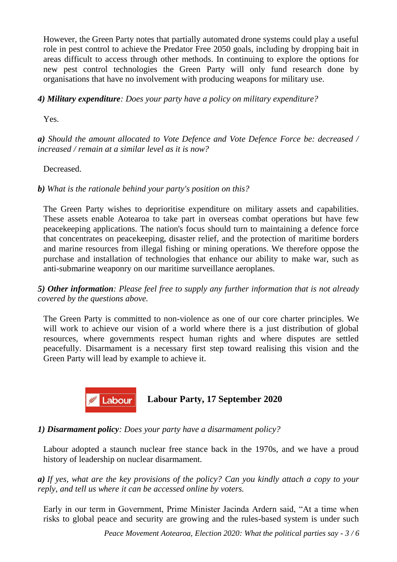However, the Green Party notes that partially automated drone systems could play a useful role in pest control to achieve the Predator Free 2050 goals, including by dropping bait in areas difficult to access through other methods. In continuing to explore the options for new pest control technologies the Green Party will only fund research done by organisations that have no involvement with producing weapons for military use.

#### *4) Military expenditure: Does your party have a policy on military expenditure?*

Yes.

*a) Should the amount allocated to Vote Defence and Vote Defence Force be: decreased / increased / remain at a similar level as it is now?*

Decreased.

*b) What is the rationale behind your party's position on this?*

The Green Party wishes to deprioritise expenditure on military assets and capabilities. These assets enable Aotearoa to take part in overseas combat operations but have few peacekeeping applications. The nation's focus should turn to maintaining a defence force that concentrates on peacekeeping, disaster relief, and the protection of maritime borders and marine resources from illegal fishing or mining operations. We therefore oppose the purchase and installation of technologies that enhance our ability to make war, such as anti-submarine weaponry on our maritime surveillance aeroplanes.

*5) Other information: Please feel free to supply any further information that is not already covered by the questions above.*

The Green Party is committed to non-violence as one of our core charter principles. We will work to achieve our vision of a world where there is a just distribution of global resources, where governments respect human rights and where disputes are settled peacefully. Disarmament is a necessary first step toward realising this vision and the Green Party will lead by example to achieve it.



### **Labour Party, 17 September 2020**

*1) Disarmament policy: Does your party have a disarmament policy?*

Labour adopted a staunch nuclear free stance back in the 1970s, and we have a proud history of leadership on nuclear disarmament.

*a) If yes, what are the key provisions of the policy? Can you kindly attach a copy to your reply, and tell us where it can be accessed online by voters.*

Early in our term in Government, Prime Minister Jacinda Ardern said, "At a time when risks to global peace and security are growing and the rules-based system is under such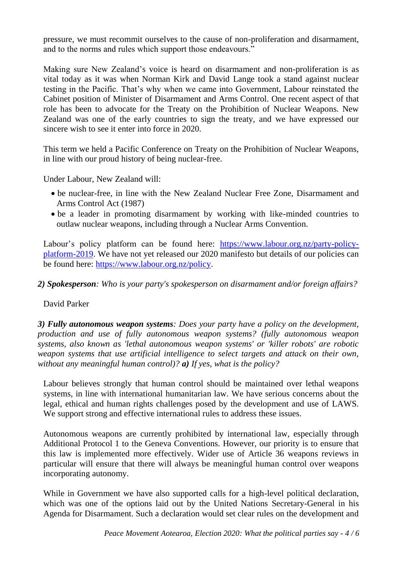pressure, we must recommit ourselves to the cause of non-proliferation and disarmament, and to the norms and rules which support those endeavours."

Making sure New Zealand's voice is heard on disarmament and non-proliferation is as vital today as it was when Norman Kirk and David Lange took a stand against nuclear testing in the Pacific. That's why when we came into Government, Labour reinstated the Cabinet position of Minister of Disarmament and Arms Control. One recent aspect of that role has been to advocate for the Treaty on the Prohibition of Nuclear Weapons. New Zealand was one of the early countries to sign the treaty, and we have expressed our sincere wish to see it enter into force in 2020.

This term we held a Pacific Conference on Treaty on the Prohibition of Nuclear Weapons, in line with our proud history of being nuclear-free.

Under Labour, New Zealand will:

- be nuclear-free, in line with the New Zealand Nuclear Free Zone, Disarmament and Arms Control Act (1987)
- be a leader in promoting disarmament by working with like-minded countries to outlaw nuclear weapons, including through a Nuclear Arms Convention.

Labour's policy platform can be found here: [https://www.labour.org.nz/party-policy](https://www.labour.org.nz/party-policy-platform-2019)[platform-2019.](https://www.labour.org.nz/party-policy-platform-2019) We have not yet released our 2020 manifesto but details of our policies can be found here: [https://www.labour.org.nz/policy.](https://www.labour.org.nz/policy)

*2) Spokesperson: Who is your party's spokesperson on disarmament and/or foreign affairs?* 

David Parker

*3) Fully autonomous weapon systems: Does your party have a policy on the development, production and use of fully autonomous weapon systems? (fully autonomous weapon systems, also known as 'lethal autonomous weapon systems' or 'killer robots' are robotic weapon systems that use artificial intelligence to select targets and attack on their own, without any meaningful human control)? a) If yes, what is the policy?*

Labour believes strongly that human control should be maintained over lethal weapons systems, in line with international humanitarian law. We have serious concerns about the legal, ethical and human rights challenges posed by the development and use of LAWS. We support strong and effective international rules to address these issues.

Autonomous weapons are currently prohibited by international law, especially through Additional Protocol 1 to the Geneva Conventions. However, our priority is to ensure that this law is implemented more effectively. Wider use of Article 36 weapons reviews in particular will ensure that there will always be meaningful human control over weapons incorporating autonomy.

While in Government we have also supported calls for a high-level political declaration, which was one of the options laid out by the United Nations Secretary-General in his Agenda for Disarmament. Such a declaration would set clear rules on the development and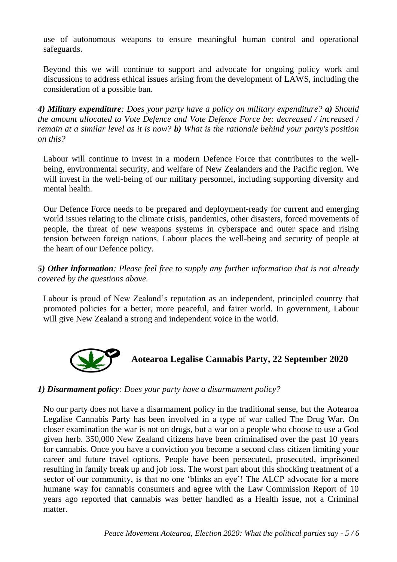use of autonomous weapons to ensure meaningful human control and operational safeguards.

Beyond this we will continue to support and advocate for ongoing policy work and discussions to address ethical issues arising from the development of LAWS, including the consideration of a possible ban.

*4) Military expenditure: Does your party have a policy on military expenditure? a) Should the amount allocated to Vote Defence and Vote Defence Force be: decreased / increased / remain at a similar level as it is now? b) What is the rationale behind your party's position on this?* 

Labour will continue to invest in a modern Defence Force that contributes to the wellbeing, environmental security, and welfare of New Zealanders and the Pacific region. We will invest in the well-being of our military personnel, including supporting diversity and mental health.

Our Defence Force needs to be prepared and deployment-ready for current and emerging world issues relating to the climate crisis, pandemics, other disasters, forced movements of people, the threat of new weapons systems in cyberspace and outer space and rising tension between foreign nations. Labour places the well-being and security of people at the heart of our Defence policy.

*5) Other information: Please feel free to supply any further information that is not already covered by the questions above.*

Labour is proud of New Zealand's reputation as an independent, principled country that promoted policies for a better, more peaceful, and fairer world. In government, Labour will give New Zealand a strong and independent voice in the world.



**Aotearoa Legalise Cannabis Party, 22 September 2020**

#### *1) Disarmament policy: Does your party have a disarmament policy?*

No our party does not have a disarmament policy in the traditional sense, but the Aotearoa Legalise Cannabis Party has been involved in a type of war called The Drug War. On closer examination the war is not on drugs, but a war on a people who choose to use a God given herb. 350,000 New Zealand citizens have been criminalised over the past 10 years for cannabis. Once you have a conviction you become a second class citizen limiting your career and future travel options. People have been persecuted, prosecuted, imprisoned resulting in family break up and job loss. The worst part about this shocking treatment of a sector of our community, is that no one 'blinks an eye'! The ALCP advocate for a more humane way for cannabis consumers and agree with the Law Commission Report of 10 years ago reported that cannabis was better handled as a Health issue, not a Criminal matter.